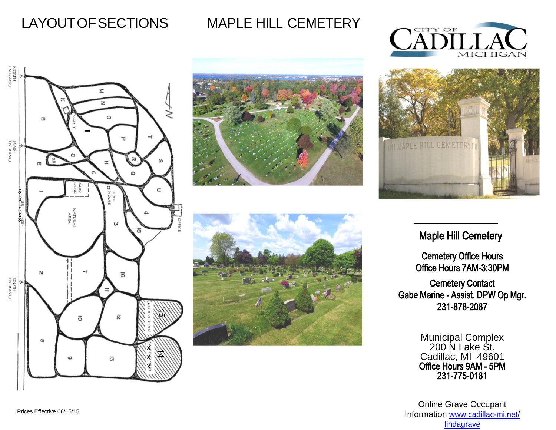LAYOUT OF SECTIONS MAPLE HILL CEMETERY











## Maple Hill Cemetery

Cemetery Office Hours Office Hours 7AM-3:30PM

**Cemetery Contact** Gabe Marine - Assist. DPW Op Mgr. 231-878-2087

> Municipal Complex [200 N Lake St.](http://www.cadillac-mi.net/findagrave)  Cadillac, MI 49601 Office Hours 9AM - 5PM 231-775-0181

Online Grave Occupant Information www.cadillac-mi.net/ findagrave

Prices Effective 06/15/15